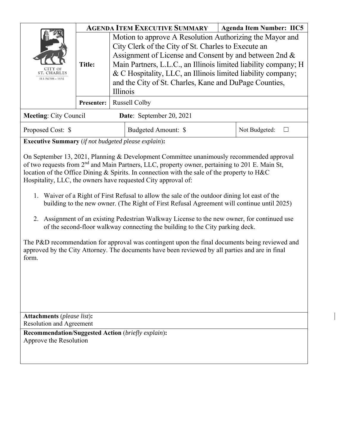|                                                         | <b>AGENDA ITEM EXECUTIVE SUMMARY</b><br><b>Agenda Item Number: IIC5</b> |                                                                                                                                                                                                                                                                                                                                                                                    |                     |  |               |
|---------------------------------------------------------|-------------------------------------------------------------------------|------------------------------------------------------------------------------------------------------------------------------------------------------------------------------------------------------------------------------------------------------------------------------------------------------------------------------------------------------------------------------------|---------------------|--|---------------|
| CITY OF<br><b>ST. CHARLES</b><br><b>ILLINOIS</b> • 1834 | <b>Title:</b>                                                           | Motion to approve A Resolution Authorizing the Mayor and<br>City Clerk of the City of St. Charles to Execute an<br>Assignment of License and Consent by and between 2nd &<br>Main Partners, L.L.C., an Illinois limited liability company; H<br>& C Hospitality, LLC, an Illinois limited liability company;<br>and the City of St. Charles, Kane and DuPage Counties,<br>Illinois |                     |  |               |
|                                                         | <b>Presenter:</b>                                                       | <b>Russell Colby</b>                                                                                                                                                                                                                                                                                                                                                               |                     |  |               |
| <b>Meeting: City Council</b>                            |                                                                         | Date: September 20, 2021                                                                                                                                                                                                                                                                                                                                                           |                     |  |               |
| Proposed Cost: \$                                       |                                                                         |                                                                                                                                                                                                                                                                                                                                                                                    | Budgeted Amount: \$ |  | Not Budgeted: |

**Executive Summary** (*if not budgeted please explain*)**:** 

On September 13, 2021, Planning & Development Committee unanimously recommended approval of two requests from 2nd and Main Partners, LLC, property owner, pertaining to 201 E. Main St, location of the Office Dining & Spirits. In connection with the sale of the property to H&C Hospitality, LLC, the owners have requested City approval of:

- 1. Waiver of a Right of First Refusal to allow the sale of the outdoor dining lot east of the building to the new owner. (The Right of First Refusal Agreement will continue until 2025)
- 2. Assignment of an existing Pedestrian Walkway License to the new owner, for continued use of the second-floor walkway connecting the building to the City parking deck.

The P&D recommendation for approval was contingent upon the final documents being reviewed and approved by the City Attorney. The documents have been reviewed by all parties and are in final form.

**Attachments** (*please list*)**:**  Resolution and Agreement

**Recommendation/Suggested Action** (*briefly explain*)**:**  Approve the Resolution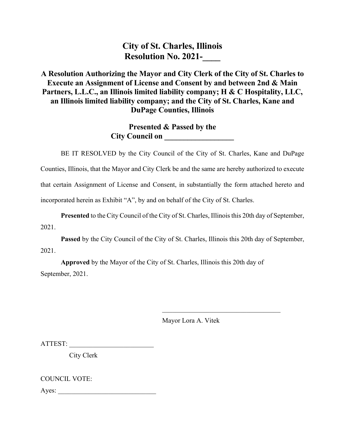**City of St. Charles, Illinois Resolution No. 2021-**

# **A Resolution Authorizing the Mayor and City Clerk of the City of St. Charles to Execute an Assignment of License and Consent by and between 2nd & Main Partners, L.L.C., an Illinois limited liability company; H & C Hospitality, LLC, an Illinois limited liability company; and the City of St. Charles, Kane and DuPage Counties, Illinois**

**Presented & Passed by the City Council on** 

BE IT RESOLVED by the City Council of the City of St. Charles, Kane and DuPage Counties, Illinois, that the Mayor and City Clerk be and the same are hereby authorized to execute that certain Assignment of License and Consent, in substantially the form attached hereto and incorporated herein as Exhibit "A", by and on behalf of the City of St. Charles.

**Presented** to the City Council of the City of St. Charles, Illinois this 20th day of September, 2021.

**Passed** by the City Council of the City of St. Charles, Illinois this 20th day of September, 2021.

**Approved** by the Mayor of the City of St. Charles, Illinois this 20th day of September, 2021.

Mayor Lora A. Vitek

 $\mathcal{L}_\text{max}$  and  $\mathcal{L}_\text{max}$  and  $\mathcal{L}_\text{max}$  and  $\mathcal{L}_\text{max}$ 

ATTEST:

City Clerk

COUNCIL VOTE:

Ayes: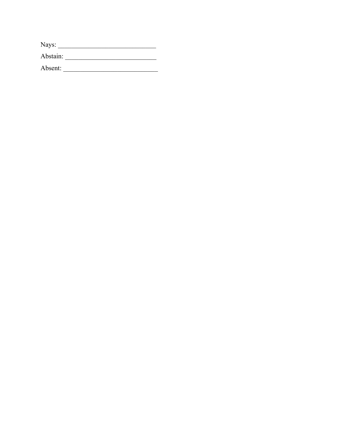| Nays:    |  |  |  |
|----------|--|--|--|
| Abstain: |  |  |  |

Absent: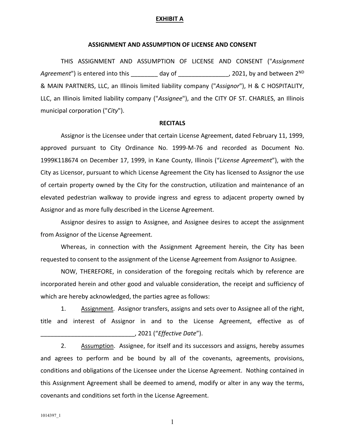## **EXHIBIT A**

### **ASSIGNMENT AND ASSUMPTION OF LICENSE AND CONSENT**

THIS ASSIGNMENT AND ASSUMPTION OF LICENSE AND CONSENT ("*Assignment*  Agreement") is entered into this \_\_\_\_\_\_\_\_ day of \_\_\_\_\_\_\_\_\_\_\_\_\_\_, 2021, by and between 2<sup>ND</sup> & MAIN PARTNERS, LLC, an Illinois limited liability company ("*Assignor*"), H & C HOSPITALITY, LLC, an Illinois limited liability company ("*Assignee*"), and the CITY OF ST. CHARLES, an Illinois municipal corporation ("*City*").

#### **RECITALS**

Assignor is the Licensee under that certain License Agreement, dated February 11, 1999, approved pursuant to City Ordinance No. 1999‐M‐76 and recorded as Document No. 1999K118674 on December 17, 1999, in Kane County, Illinois ("*License Agreement*"), with the City as Licensor, pursuant to which License Agreement the City has licensed to Assignor the use of certain property owned by the City for the construction, utilization and maintenance of an elevated pedestrian walkway to provide ingress and egress to adjacent property owned by Assignor and as more fully described in the License Agreement.

Assignor desires to assign to Assignee, and Assignee desires to accept the assignment from Assignor of the License Agreement.

Whereas, in connection with the Assignment Agreement herein, the City has been requested to consent to the assignment of the License Agreement from Assignor to Assignee.

NOW, THEREFORE, in consideration of the foregoing recitals which by reference are incorporated herein and other good and valuable consideration, the receipt and sufficiency of which are hereby acknowledged, the parties agree as follows:

1. Assignment. Assignor transfers, assigns and sets over to Assignee all of the right, title and interest of Assignor in and to the License Agreement, effective as of \_\_\_\_\_\_\_\_\_\_\_\_\_\_\_\_\_\_\_\_\_\_\_\_\_\_\_\_, 2021 ("*Effective Date*").

2. Assumption. Assignee, for itself and its successors and assigns, hereby assumes and agrees to perform and be bound by all of the covenants, agreements, provisions, conditions and obligations of the Licensee under the License Agreement. Nothing contained in this Assignment Agreement shall be deemed to amend, modify or alter in any way the terms, covenants and conditions set forth in the License Agreement.

1014397\_1

1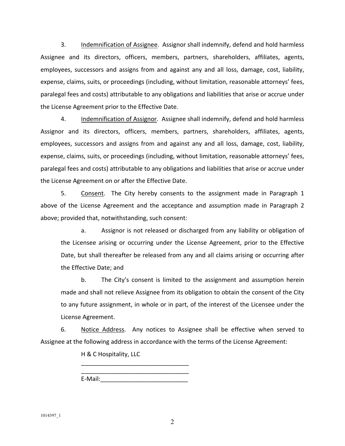3. Indemnification of Assignee. Assignor shall indemnify, defend and hold harmless Assignee and its directors, officers, members, partners, shareholders, affiliates, agents, employees, successors and assigns from and against any and all loss, damage, cost, liability, expense, claims, suits, or proceedings (including, without limitation, reasonable attorneys' fees, paralegal fees and costs) attributable to any obligations and liabilities that arise or accrue under the License Agreement prior to the Effective Date.

4. Indemnification of Assignor. Assignee shall indemnify, defend and hold harmless Assignor and its directors, officers, members, partners, shareholders, affiliates, agents, employees, successors and assigns from and against any and all loss, damage, cost, liability, expense, claims, suits, or proceedings (including, without limitation, reasonable attorneys' fees, paralegal fees and costs) attributable to any obligations and liabilities that arise or accrue under the License Agreement on or after the Effective Date.

5. Consent. The City hereby consents to the assignment made in Paragraph 1 above of the License Agreement and the acceptance and assumption made in Paragraph 2 above; provided that, notwithstanding, such consent:

a. Assignor is not released or discharged from any liability or obligation of the Licensee arising or occurring under the License Agreement, prior to the Effective Date, but shall thereafter be released from any and all claims arising or occurring after the Effective Date; and

b. The City's consent is limited to the assignment and assumption herein made and shall not relieve Assignee from its obligation to obtain the consent of the City to any future assignment, in whole or in part, of the interest of the Licensee under the License Agreement.

6. Notice Address. Any notices to Assignee shall be effective when served to Assignee at the following address in accordance with the terms of the License Agreement:

H & C Hospitality, LLC

\_\_\_\_\_\_\_\_\_\_\_\_\_\_\_\_\_\_\_\_\_\_\_\_\_\_\_\_\_\_\_\_ E-Mail:

\_\_\_\_\_\_\_\_\_\_\_\_\_\_\_\_\_\_\_\_\_\_\_\_\_\_\_\_\_\_\_\_

1014397\_1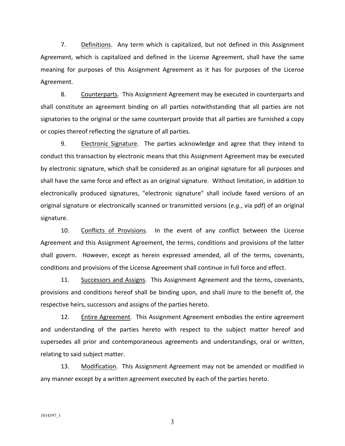7. Definitions. Any term which is capitalized, but not defined in this Assignment Agreement, which is capitalized and defined in the License Agreement, shall have the same meaning for purposes of this Assignment Agreement as it has for purposes of the License Agreement.

8. Counterparts. This Assignment Agreement may be executed in counterparts and shall constitute an agreement binding on all parties notwithstanding that all parties are not signatories to the original or the same counterpart provide that all parties are furnished a copy or copies thereof reflecting the signature of all parties.

9. Electronic Signature. The parties acknowledge and agree that they intend to conduct this transaction by electronic means that this Assignment Agreement may be executed by electronic signature, which shall be considered as an original signature for all purposes and shall have the same force and effect as an original signature. Without limitation, in addition to electronically produced signatures, "electronic signature" shall include faxed versions of an original signature or electronically scanned or transmitted versions (*e.g.*, via pdf) of an original signature.

10. Conflicts of Provisions. In the event of any conflict between the License Agreement and this Assignment Agreement, the terms, conditions and provisions of the latter shall govern. However, except as herein expressed amended, all of the terms, covenants, conditions and provisions of the License Agreement shall continue in full force and effect.

11. Successors and Assigns. This Assignment Agreement and the terms, covenants, provisions and conditions hereof shall be binding upon, and shall inure to the benefit of, the respective heirs, successors and assigns of the parties hereto.

12. Entire Agreement. This Assignment Agreement embodies the entire agreement and understanding of the parties hereto with respect to the subject matter hereof and supersedes all prior and contemporaneous agreements and understandings, oral or written, relating to said subject matter.

13. Modification. This Assignment Agreement may not be amended or modified in any manner except by a written agreement executed by each of the parties hereto.

3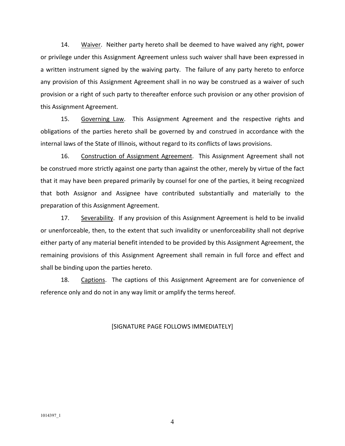14. Waiver. Neither party hereto shall be deemed to have waived any right, power or privilege under this Assignment Agreement unless such waiver shall have been expressed in a written instrument signed by the waiving party. The failure of any party hereto to enforce any provision of this Assignment Agreement shall in no way be construed as a waiver of such provision or a right of such party to thereafter enforce such provision or any other provision of this Assignment Agreement.

15. Governing Law. This Assignment Agreement and the respective rights and obligations of the parties hereto shall be governed by and construed in accordance with the internal laws of the State of Illinois, without regard to its conflicts of laws provisions.

16. Construction of Assignment Agreement. This Assignment Agreement shall not be construed more strictly against one party than against the other, merely by virtue of the fact that it may have been prepared primarily by counsel for one of the parties, it being recognized that both Assignor and Assignee have contributed substantially and materially to the preparation of this Assignment Agreement.

17. Severability. If any provision of this Assignment Agreement is held to be invalid or unenforceable, then, to the extent that such invalidity or unenforceability shall not deprive either party of any material benefit intended to be provided by this Assignment Agreement, the remaining provisions of this Assignment Agreement shall remain in full force and effect and shall be binding upon the parties hereto.

18. Captions. The captions of this Assignment Agreement are for convenience of reference only and do not in any way limit or amplify the terms hereof.

## [SIGNATURE PAGE FOLLOWS IMMEDIATELY]